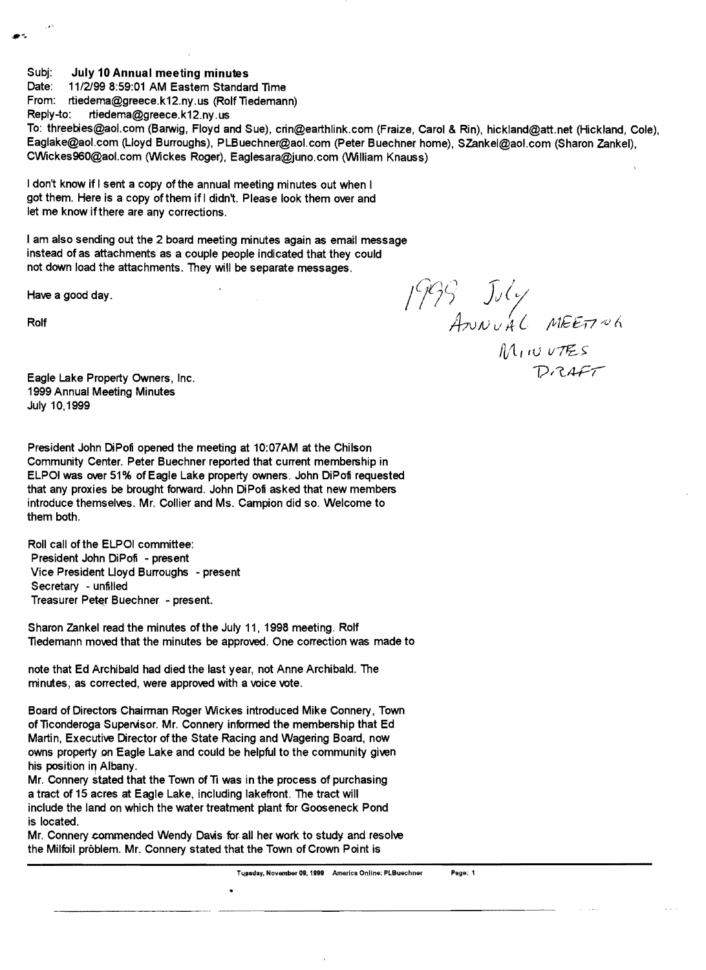Subj: July 10 Annual meeting minutes<br>Date: 11/2/99 8:59:01 AM Eastem Standar

11/2/99 8:59:01 AM Eastern Standard Time

From: rtiedema@greece.k12.ny.us (Rolf Tiedemann)

Reply-to: rtiedema@greece.k12.ny.us

To: threebies@aol.com (Barwig, Floyd and Sue), crin@earthlink.com (Fraize, Carol & Rin), hickland@att.net (Hickland, Cole), Eaglake@aol.com (Lloyd Burroughs), PLBuechner@aol.com (Peter Buechner home), SZankel@aol.com (Sharon Zankel), CWickes960@aoLcom (Wickes Roger), Eaglesara@juno.com (William Knauss)

I don't know if I sent a copy of the annual meeting minutes out when I got them. Here is a copy of them if I didn't. Please look them over and let me know ifthere are any corrections.

I am also sending out the 2 board meeting minutes again as email message instead of as attachments as a couple people indicated that they could not down load the attachments. They will be separate messages.

Have a good day.

 $1999 - J_1$ Rolf  $A$ <sub> $\mathcal{W}$ </sub>  $A\mathcal{W}$  $C\mathcal{W}$  $A\mathcal{C}$   $M$  $E\mathcal{E}$  $T$   $\mathcal{W}$  $A$  $M_1$  IU UTES

**Eagle Lake Property Owners, Inc. lies and the example of the COVID-T**  $\bigcup \mathcal{R}}$   $\mathcal{A}$   $\mathcal{F}$   $\mathcal{T}$ 1999 Annual Meeting Minutes July 10,1999

President John DiPofi opened the meeting at 10:07AM at the Chilson Community Center. Peter Buechner reported that current membership in ELPOI was over 51% of Eagle Lake property owners. John DiPofi requested that any proxies be brought forward. John DiPofi asked that new members introduce themselves. Mr. Collier and Ms. Campion did so. Welcome to them both.

Roll call of the ELPOI committee: President John DiPofi - present Vice President Lloyd Burroughs - present Secretary - unfilled Treasurer Peter Buechner - present.

Sharon Zankel read the minutes of the July 11, 1998 meeting. Rolf Tiedemann moved that the minutes be approved. One correction was made to

note that Ed Archibald had died the last year, not Anne Archibald. The minutes, as corrected, were approved with a voice vote.

Board of Directors Chairman Roger Wickes introduced Mike Connery, Town of Ticonderoga Supervisor. Mr. Connery informed the membership that Ed Martin, Executive Director of the State Racing and Wagering Board, now owns property on Eagle Lake and could be helpful to the community given his position in Albany.

Mr. Connery stated that the Town of Ti was in the process of purchasing a tract of 15 acres at Eagle Lake, including lakefront. The tract will include the land on which the water treatment plant for Gooseneck Pond is located.

Mr. Connery commended Wendy Davis for all her work to study and resolve the Milfoil problem. Mr. Connery stated that the Town of Crown Point is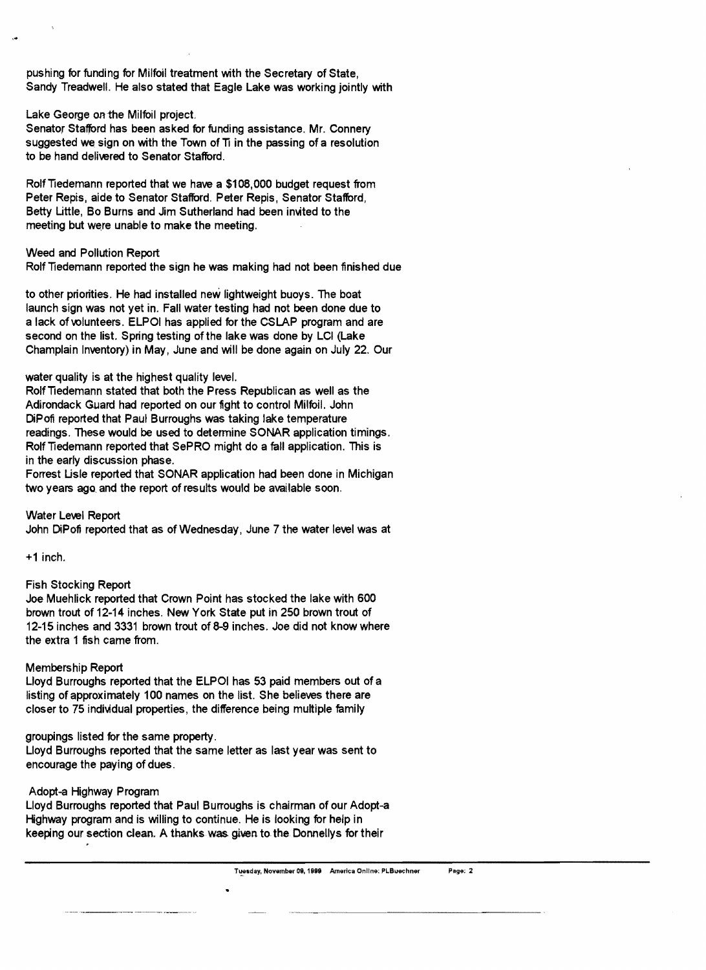pushing for funding for Milfoil treatment with the Secretary of State, Sandy Treadwell. He also stated that Eagle Lake was working jointly with

### Lake George on the Milfoil project.

Senator Stafford has been asked for funding assistance. Mr. Connery suggested we sign on with the Town of Ti in the passing of a resolution to be hand delivered to Senator Stafford.

Rolf Tiedemann reported that we have a \$108,000 budget request from Peter Repis, aide to Senator Stafford. Peter Repis, Senator Stafford, Betty Little, Bo Burns and Jim Sutherland had been invited to the meeting but were unable to make the meeting.

### Weed and Pollution Report

Rolf Tiedemann reported the sign he was making had not been finished due

to other priorities. He had installed new lightweight buoys. The boat launch sign was not yet in. Fall water testing had not been done due to a lack of volunteers. ELPOI has applied for the CSLAP program and are second on the list. Spring testing of the lake was done by LCI (Lake Champlain Inventory) in May, June and will be done again on July 22. Our

#### water quality is at the highest quality level.

Rolf Tiedemann stated that both the Press Republican as well as the Adirondack Guard had reported on our fight to control Milfoil. John DiPofi reported that Paul Burroughs was taking lake temperature readings. These would be used to determine SONAR application timings. Rolf Tiedemann reported that SePRO might do a fall application. This is in the early discussion phase.

Forrest Lisle reported that SONAR application had been done in Michigan two years ago and the report of results would be available soon.

Water Level Report John DiPofi reported that as of Wednesday, June 7 the water level was at

+1 inch.

# Fish Stocking Report

Joe Muehlick reported that Crown Point has stocked the lake with 600 brown trout of 12-14 inches. New York State put in 250 brown trout of 12-15 inches and 3331 brown trout of 8-9 inches. Joe did not know where the extra 1 fish came from.

# Membership Report

Lloyd Burroughs reported that the ELPOI has 53 paid members out of a listing of approximately 100 names on the list. She believes there are closer to 75 individual properties, the difference being multiple family

#### groupings listed for the same property.

Lloyd Burroughs reported that the same letter as last year was sent to encourage the paying of dues.

# Adopt-a Highway Program

Lloyd Burroughs reported that Paul Burroughs is chairman of our Adopt-a Highway program and is willing to continue. He is looking for help in keeping our section clean. A thanks was given to the Donnellys for their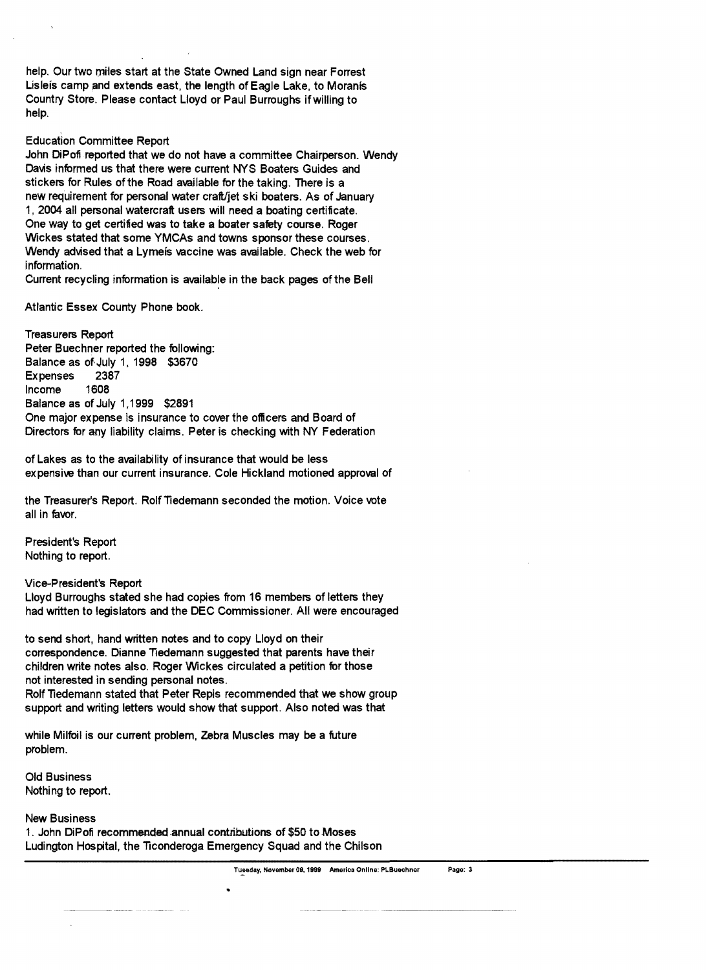help. Our two miles start at the State Owned Land sign near Forrest Lisleis camp and extends east, the length of Eagle Lake, to Moranis Country Store. Please contact Lloyd or Paul Burroughs ifwilling to help.

### Education Committee Report

John DiPofi reported that we do not have a committee Chairperson. Wendy Davis informed us that there were current NYS Boaters Guides and stickers for Rules of the Road available for the taking. There is a new requirement for personal water craft/jet ski boaters. As of January 1, 2004 all personal watercraft users will need a boating certificate. One way to get certified was to take a boater safety course. Roger Wickes stated that some YMCAs and towns sponsor these courses. Wendy advised that a Lymefs vaccine was available. Check the web for information.

Current recycling information is available in the back pages of the Bell

Atlantic Essex County Phone book.

Treasurers Report Peter Buechner reported the following: Balance as of July 1, 1998 \$3670 Expenses 2387 Income 1608 Balance as of July 1,1999 \$2891 One major expense is insurance to cover the officers and Board of Directors for any liability claims. Peter is checking with NY Federation

of Lakes as to the availability of insurance that would be less expensive than our current insurance. Cole Hickland motioned approval of

the Treasurer's Report. Rolf Tiedemann seconded the motion. Voice vote all in favor.

President's Report Nothing to report.

Vice-President's Report

Lloyd Burroughs stated she had copies from 16 members of letters they had written to legislators and the DEC Commissioner. All were encouraged

to send short, hand written notes and to copy Lloyd on their correspondence. Dianne Tiedemann suggested that parents have their children write notes also. Roger Wickes circulated a petition for those not interested in sending personal notes.

Rolf Tiedemann stated that Peter Repis recommended that we show group support and writing letters would show that support. Also noted was that

while Milfoil is our current problem. Zebra Muscles may be a future problem.

Old Business Nothing to report.

New Business

1. John DiPofi recommended annual contributions of \$50 to Moses Ludington Hospital, the Ticonderoga Emergency Squad and the Chilson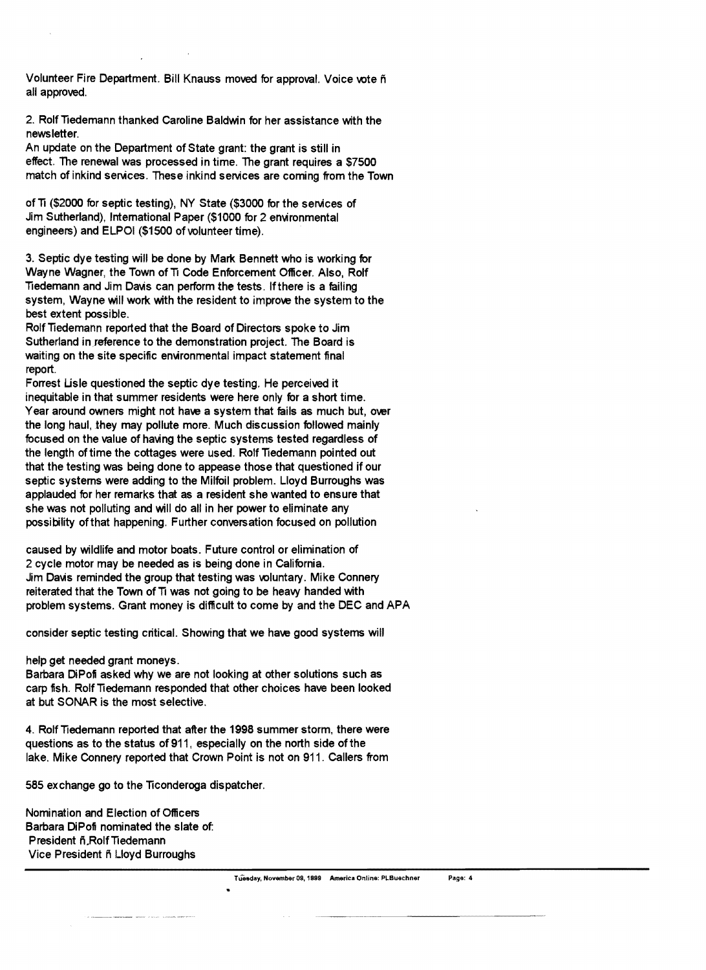Volunteer Fire Department. Bill Knauss moved for approval. Voice vote ñ all approved.

2. Rolf Tiedemann thanked Caroline Baldwin for her assistance with the newsletter.

An update on the Department of State grant: the grant is still in effect. The renewal was processed in time. The grant requires a \$7500 match of inkind services. These inkind services are coming from the Town

of Ti (\$2000 for septic testing), NY State (\$3000 for the services of Jim Sutherland), Intemational Paper (\$1000 for 2 environmental engineers) and ELPOI (\$1500 of volunteer time).

3. Septic dye testing will be done by Mark Bennett who is working for Wayne Wagner, the Town of Ti Code Enforcement Officer. Also, Rolf Tiedemann and Jim Davis can perform the tests. If there is a failing system, Wayne will work with the resident to improve the system to the best extent possible.

Rolf Tiedemann reported that the Board of Directors spoke to Jim Sutherland in reference to the demonstration project. The Board is waiting on the site specific environmental impact statement final report.

Forrest Lisle questioned the septic dye testing. He perceived it inequitable in that summer residents were here only for a short time. Year around owners might not have a system that fails as much but, over the long haul, they may pollute more. Much discussion followed mainly focused on the value of having the septic systems tested regardless of the length of time the cottages were used. Rolf Tiedemann pointed out that the testing was being done to appease those that questioned if our septic systems were adding to the Milfoil problem. Lloyd Burroughs was applauded for her remarks that as a resident she wanted to ensure that she was not polluting and will do all in her power to eliminate any possibility ofthat happening. Further conversation focused on pollution

caused by wildlife and motor boats. Future control or elimination of 2 cycle motor may be needed as is being done in California. Jim Davis reminded the group that testing was voluntary. Mike Connery reiterated that the Town of Ti was not going to be heavy handed with problem systems. Grant money is difficult to come by and the DEC and APA

consider septic testing critical. Showing that we have good systems will

help get needed grant moneys.

Barbara DiPofi asked why we are not looking at other solutions such as carp fish. Rolf Tiedemann responded that other choices have been looked at but SONAR is the most selective.

4. Rolf Tiedemann reported that after the 1998 summer storm, there were questions as to the status of 911, especially on the north side of the lake. Mike Connery reported that Crown Point is not on 911. Callers from

585 exchange go to the Ticonderoga dispatcher.

Nomination and Election of Officers Barbara DiPofi nominated the slate of: President fi.RolfTiedemann Vice President ñ Lloyd Burroughs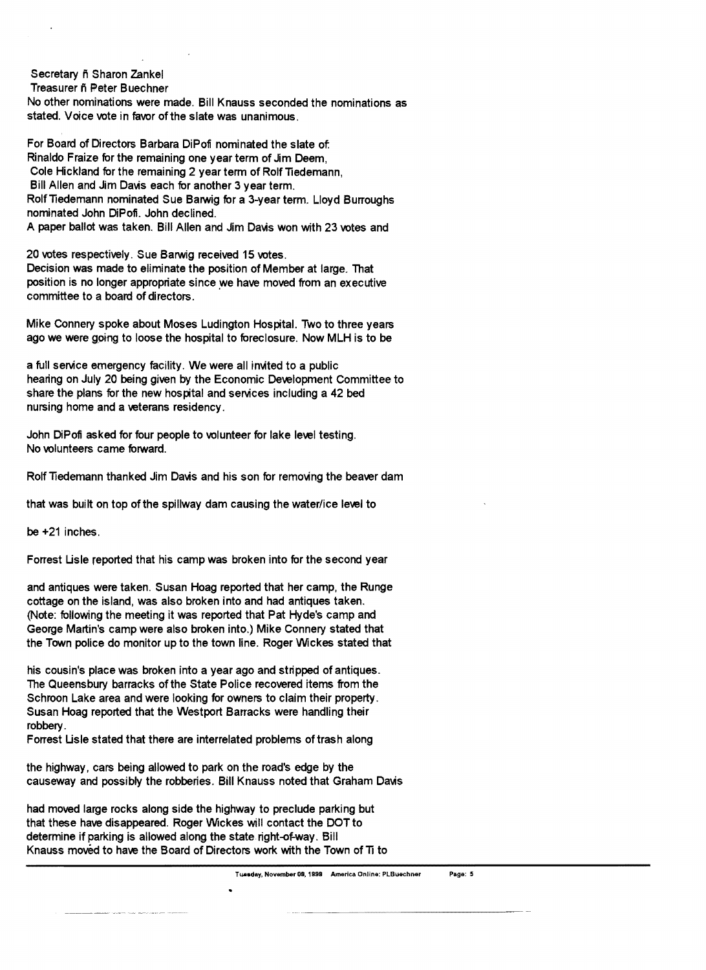Secretary ñ Sharon Zankel

Treasurer fi Peter Buechner

 No other nominations were made. Bill Knauss seconded the nominations as stated. Voice vote in favor of the slate was unanimous.

For Board of Directors Barbara DiPofi nominated the slate of: Rinaldo Fraize for the remaining one year term of Jim Deem, Cole Hickland for the remaining 2 year term of Rolf Tiedemann, Bill Allen and Jim Davis each for another 3 year term. Rolf Tiedemann nominated Sue Barwig for a 3-year term. Lloyd Burroughs nominated John DiPofi. John declined. A paper ballot was taken. Bill Allen and Jim Davis won with 23 votes and

20 votes respectively. Sue Barwig received 15 votes. Decision was made to eliminate the position of Member at large. That position is no longer appropriate since we have moved from an executive committee to a board of directors.

Mike Connery spoke about Moses Ludington Hospital. Two to three years ago we were going to loose the hospital to foreclosure. Now MLH is to be

a full service emergency facility. We were all invited to a public hearing on July 20 being given by the Economic Development Committee to share the plans for the new hospital and services including a 42 bed nursing home and a veterans residency.

John DiPofi asked for four people to volunteer for lake level testing. No volunteers came forward.

Rolf Tiedemann thanked Jim Davis and his son for removing the beaver dam

that was built on top of the spillway dam causing the water/ice level to

be +21 inches.

Forrest Usle reported that his camp was broken into for the second year

and antiques were taken. Susan Hoag reported that her camp, the Runge cottage on the island, was also broken into and had antiques taken. (Note: following the meeting it was reported that Pat Hyde's camp and George Martin's camp were also broken into.) Mike Connery stated that the Town police do monitor up to the town line. Roger Wickes stated that

his cousin's place was broken into a year ago and stripped of antiques. The Queensbury barracks of the State Police recovered items from the Schroon Lake area and were looking for owners to claim their property. Susan Hoag reported that the Westport Barracks were handling their robbery.

Forrest Lisle stated that there are interrelated problems of trash along

the highway, cars being allowed to park on the road's edge by the causeway and possibly the robberies. Bill Knauss noted that Graham Davis

had moved large rocks along side the highway to preclude parking but that these have disappeared. Roger Wickes will contact the DOT to determine if parking is allowed along the state right-of-way. Bill Knauss moved to have the Board of Directors work with the Town of TI to